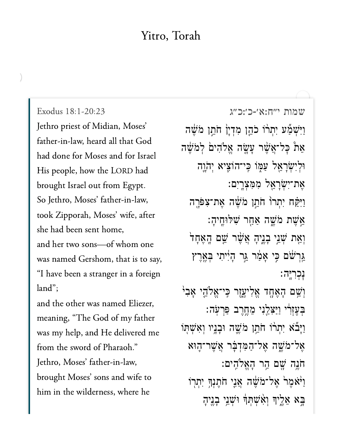## Yitro, Torah

Exodus 18:1-20:23 Jethro priest of Midian, Moses' father-in-law, heard all that God had done for Moses and for Israel His people, how the LORD had brought Israel out from Egypt. So Jethro, Moses' father-in-law, took Zipporah, Moses' wife, after she had been sent home, and her two sons-of whom one was named Gershom, that is to say, "I have been a stranger in a foreign land": and the other was named Eliezer, meaning, "The God of my father was my help, and He delivered me from the sword of Pharaoh." Jethro, Moses' father-in-law, brought Moses' sons and wife to him in the wilderness, where he

[שמות י״ח:א׳-כ׳:כ״ג](https://www.sefaria.org/Exodus%2018:1-20:23) 18:1-20:23 Exodus וַיִּשְׁמַץ יִתְרוֹ כֹהֵן מְדְיָן חֹתֵן מֹשֶׁה אֵת כָּל־אֲשֵׁר עָשֶׂה אֱלֹהִים לְמֹשֵׁה וּלִיְשָׂרַאֵל עַמְּוֹ כֵּי־הוֹצְיא יְהֹוֵה ָאֵת־יִשְׂרָאֱל מְמִצְרֵיִם: וַיִּקַּח יִתְרוֹ חֹתֵן מֹשֵׁה אֵת־צִפּרֶה ָאֲשֶׁת מֹּשֱה אַחֲר שִׁלִּוְּחֵיהָ יְאֵת שְׁנֵי בְנֵיהָ אֲשֶׁר שֵׁם הֲאֶחָד ָּגְרִשׁׁם כֵּי אָמַ֫ר גֵּר הָיִיתִי בְּאֶרֶץ נַכְר<u>ִי</u>ּה: ֿוְשֵׁם הָאֶחֱד אֱלִישֶׂוֶר כִּי־אֱלֹהֵי אָבִ<sup>וּ</sup> ּבְעֵזְרִ֫י וַיַּצְלֵנִי מֱחֱרֵב פַּרְעָׂה׃ וַיָּבٌא יִתְרו חֹתֵן מֹשֵׁה וּבָנֵיו וְאִשָׁתְוֹ ְאֲל־מֹשֶׁה אֱל־הַמְּדְבָּ֫ר אֲשֶׁר־הֶוּא ֹח ֶ֥נה ָׁ֖ש ם ַ֥ה ר ָה ֱא ֹלִֽה ים׃ ֿוַיֹּאָמֶר אֱל־מֹשֶׁה אֲנֵי חֹתֵנְךָ יִתְרוֹ ַּבַא אֲלֵיךְ וְאָ֫שָׁתְּךָ וּשָׁנֵי בָנֵיהָ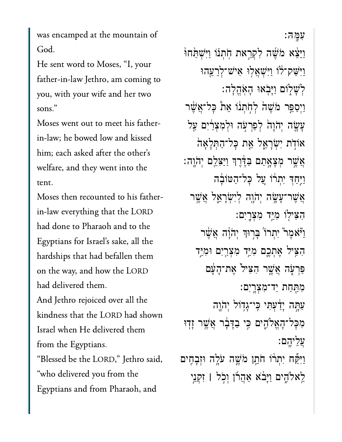was encamped at the mountain of God.

He sent word to Moses, "I, your father-in-law Jethro, am coming to you, with your wife and her two sons."

Moses went out to meet his fatherin-law; he bowed low and kissed him; each asked after the other's welfare, and they went into the tent.

Moses then recounted to his fatherin-law everything that the LORD had done to Pharaoh and to the Egyptians for Israel's sake, all the hardships that had befallen them on the way, and how the LORD had delivered them. And Jethro rejoiced over all the kindness that the LORD had shown

Israel when He delivered them from the Egyptians. "Blessed be the LORD," Jethro said, "who delivered you from the Egyptians and from Pharaoh, and

עמה: וַיְּשָׁמֹּחוֹּ יִישְׁמַּחוֹ וַיִּשַׁק־לֹוֹ וַיִּשְׁאֲלִוּ אִישׁ־לְרֵעֱהוּ לְשָׁלְוֹם וַיַּבְאוּ הָאַהֱלָה: וַיִּסַפֵּר מֹשֵׁהֹ לְחָתְנוֹ אֵת כָּל־אֲשֶׁר עָשָׂה יְהֹוָהֹ לְפַרְעָׂה וּלְמְצְרַׂיִם עַל אודת ישראל את כל־התלאה אֲשֶׁר מִצָאֲתַם בַּדֶּרֵךְ וַיַּצְלֵם יְהֹוֵה: וַיְּחַדְ יִתְרֹוֹ עֲל כַּל־הַטּוֹבָה אֲשֶׁר־עֲשֶׂה יְהֹוֵה לְיִשְׂרַאֱל אֲשֱר הִצִּילְוֹ מִיֵּד מִצְרֵיִם: וַיֹּאמֵר יִתְרוֹ בַּרְוּךְ יְהֹוָה אֲשֵׁר הִצִּיל אֵתְכֵם מִיַּד מִצְרֵיִם וּמִיַּד פּרִעָּה אֲשֱר הָצִיל אֶת־הַעַּם מְחַחַת יַד־מִצְרֵיִם: עַתָּה יָדַ֫עִתִּי כִּי־גָדְוֹל יִהֹוֶה מִכַּל־הָאֵלֹהֶים כִּי בַדָּבָר אֲשֶׁר זָדָוּ עַלִיהֵם: וַיִּקַּח יִתְרֹו חֹתֵן מֹשֱה עֹלֶה וּזְבָחֶים לֵאלֹהֶים וַיָּבֹא אַהֲרוֹ וִכְל | זְקְנֵי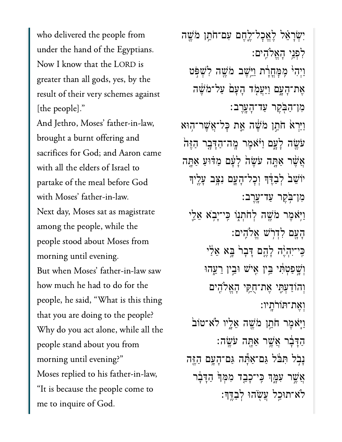who delivered the people from under the hand of the Egyptians. Now I know that the LORD is greater than all gods, yes, by the result of their very schemes against [the people]." And Jethro, Moses' father-in-law, brought a burnt offering and sacrifices for God; and Aaron came with all the elders of Israel to partake of the meal before God with Moses' father-in-law. Next day, Moses sat as magistrate among the people, while the people stood about Moses from morning until evening. But when Moses' father-in-law saw how much he had to do for the people, he said, "What is this thing that you are doing to the people? Why do you act alone, while all the people stand about you from morning until evening?" Moses replied to his father-in-law, "It is because the people come to me to inquire of God.

יִשְׂרָאֵל לָאֱכָל־לֵחֵם עִם־חֹתֵן מֹשֵׁה לִפְנֵי הַאֱלֹהִים: וַיְהִי מֶמָחֲרָת וַיֵּשֵׁב מֹשֵׁה לְשָׁפִּט אֵת־הָעֲם וַיַּעֲמָד הָעָם עַל־מֹשֵׁה מִן־הַבִּקֵר עַד־הָעֲרֵב: וַיַּרְאֹ חֹתֵן מֹשֶׁה אֱת כַּל־אֲשֶׁר־הִוּא עֹשֶׂה לַעֲם וַיֹּאמֶר מֵה־הַדָּבֶר הַזֶּהֹ אֲשֶׁר אַתֲה עֹשֶׂהֹ לַעֲם מַדִּוּעַ אַתֲה יוֹשֵׁבׂ לְבַדֶּךָ וְכָל־הָעֲם נִצְּב עָלֵיךָ מִן־בִּקֵר עַד־עֲרֻב: וַיְאמִר מֹשֵׁה לְחֹתְנִו כֵּי־יַבְא אֶלֵי הָעֲם לִדְרִשׁ אֵלֹהִים: כֵּי־יִהְיֶּה לָהֱם דָּבָר בֵּא אֵלֵי וְשֵׁפַטְתִּי בֵּין אֵישׁ וּבֵין רֵעֵהוּ וְהוֹדַעִּתֵּי אֵת־חָקֵי הָאֵלֹהֶים ואת־תורתיו: וַיַּאמֶר חֹתֵן מֹשֶׁה אֲלֵיו לֹא־טוֹב ּהַדְּבָר אֲשֱר אַתֶּה עֹשֱה: נְבְל תִּבֹּל גַּם־אַתֶּה גַּם־הָעֲם הַזֶּה אֲשֵׁר עִמֲךָ כֵּי־כָבֵד מִמְּךָּ הַדָּבָר לֹא־תוּכֵל עֲשָׂהוּ לִבְדֵּךְ: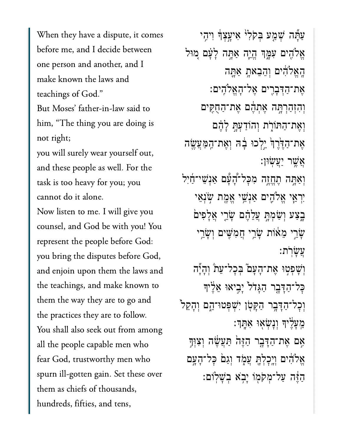When they have a dispute, it comes before me, and I decide between one person and another, and I make known the laws and teachings of God."

But Moses' father-in-law said to him, "The thing you are doing is not right;

you will surely wear yourself out, and these people as well. For the task is too heavy for you; you cannot do it alone.

Now listen to me. I will give you counsel, and God be with you! You represent the people before God: you bring the disputes before God, and enjoin upon them the laws and the teachings, and make known to them the way they are to go and the practices they are to follow. You shall also seek out from among all the people capable men who fear God, trustworthy men who spurn ill-gotten gain. Set these over them as chiefs of thousands, hundreds, fifties, and tens,

עַתָּֿה שָׁמֵע בִּקֹלְיֹ אִיעֲצְדָּ וִיהֵי אֱלֹהֶים עִמֱֽךְ הֵיֱה אֲתָּה לָעָּׁם מִוּל ַּהָאֱלֹהִים וְהֵבֵאתָ אַתֲה ֶא ת־ַה ְּד ָב ִ֖ר ים ֶא ל־ָה ֱא ֹלִֽה ים׃ וְהִזְהַרְחָּה אֶתְהֶם אֶת־הַחָקִים וְאֶת־הַתּוֹרָת וְהוֹדַעָּהַ לַּהֵּם ְאֶת־הַדֶּׂרֶךְ יֵלְכוּ בָדֶ וְאֱת־הַמֶּעֲשֶׂה ָאֲשֶׁר יַעֲשׂוּן: וְאַתְּה תֶחֱזֶה מִכְּל־דָּעָືם אַנְשֵׁי־<u>חַ</u>ׂיִל יִרְאֵי אֱלֹהֶים אַנִּשֵׁי אֲמֵת שְׂנִאֵי ָבְצַע וְשַׂמְתֵּ עֲלֵדֶם שָׂרֵי אֲלָפִים ְּשַׂרֵי מֵאׁוֹת שָׂרֵי חֲמִשִּׁים וְשָׂרֵי ַעֲשׂרֹת: וְשָׁפִטְוּ אֵת־הָעָם בְּכָל־עֵת וְהָיָ*ה* ּכָּל־הַדַּבָר הַגַּדֹל יַבֵיאוּ אֵלֶיִךְ וְכָל־הַדָּבֶר הַקָּטְן יִשְׁפִּטוּ־הֵם וְהָקֵל<sup>י</sup> ֵֽמ ָע ֶ֔ל יָך ְו ָנְׂש ֖א ּו ִא ָּֽת ְך׃ אָם אֶת־הַדָּבֶר הַיֶּה תַּעֲשֶׂה וְצִוּ<del>ּו</del> ְאֱלֹהִ֫יִּם וְיֵכַלְּתֵּ עֲמָׂד וְגָםׂ כָּל־הָעֲם ּהַדֵּׁה עַל־מְקֹמוֹ יַבְא בְשָׁלִוּם: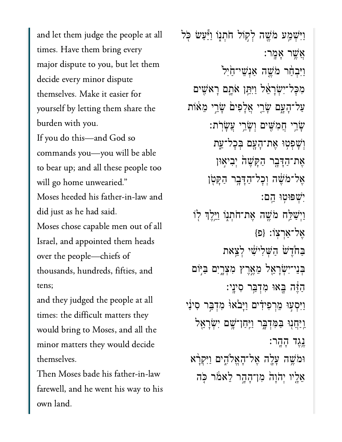and let them judge the people at all times. Have them bring every major dispute to you, but let them decide every minor dispute themselves. Make it easier for yourself by letting them share the burden with you. If you do this-and God so commands you—you will be able to bear up; and all these people too will go home unwearied." Moses heeded his father-in-law and did just as he had said. Moses chose capable men out of all Israel, and appointed them heads over the people—chiefs of thousands, hundreds, fifties, and tens; and they judged the people at all

times: the difficult matters they would bring to Moses, and all the minor matters they would decide themselves.

Then Moses bade his father-in-law farewell, and he went his way to his own land.

וַיִּשְׁמֵע מֹשֵׁה לְקִוֹּל חֹתְנְוֹ וַיַּּעֲשׂ כְּל :אַשֵׁר אַמַר וַיִּבְהַר מֹשֵׁה אֲנְשֵׁי־הַיְּלִ מִכָּל־יִשְׂרָאֵל וַיִּחֵן אֹתָם רָאשִׁים עַל־הָעֲם שָׂרֵי אֲלָפִיםׂ שָׂרֵי מֵאֹוֹת ּשָׂרֵי חֲמִשִּׁים וְשָׂרֵי עֲשָׂרִת: וְשָׁפִטְוּ אֶת־הָעֲם בִּכָל־עֵת אֵת־הַדָּבֶר הַקַּשָׁהֹ יִבְיאִוּן אֱל־מֹשֶׁה וְכַל־הַדָּבֵר הַקַּטְן ישפוטו הם: וַיִּשַׁלֵּח מֹשֵׁה אֶת־חֹתְנֶוֹ וַיֵּלֶךְ לְוֹ אֲל־אַרְצוֹ: {פ} בַּחֹרֵשׁ הַשְׁלִישִׁי לְצֵאת בִּנִי־יְשָׂרָאֵל מֵאֲרֵץ מִצְרֵיִם בַּיִּוֹם הַזֶּה בֵאוּ מִדְבֵּר סִינֵי: וַיִּסְעָוּ מֵרְפִידִים וַיָּבֹאוּ מִדְבֵּר סִינַו <u>וַיַּחֲ</u>נְוּ בַּמְדִבֶּר וַיְחַן־שָׁם יִשְׂרָאֵל ֵנֵגֵד הָהֶר: וּמֹשֵׁה עַלֵה אֵל־הָאֱלֹהֶים וַיִּקְרַ֫א אֵלֵיו יִהֹוָהֹ מִן־הָהָר לֵאמֹר כָּה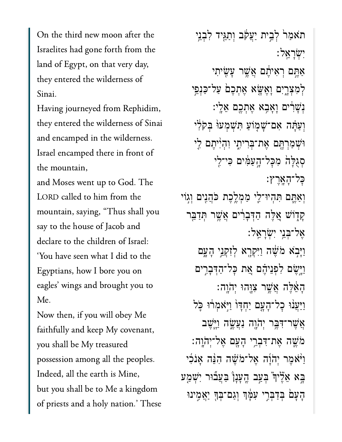On the third new moon after the Israelites had gone forth from the land of Egypt, on that very day, Sinai.Having journeyed from Rephidim,

Having journeyed from Rephidim,  $\frac{1}{\sqrt{1-\frac{1}{\sqrt{1-\frac{1}{\sqrt{1-\frac{1}{\sqrt{1-\frac{1}{\sqrt{1-\frac{1}{\sqrt{1-\frac{1}{\sqrt{1-\frac{1}{\sqrt{1-\frac{1}{\sqrt{1-\frac{1}{\sqrt{1-\frac{1}{\sqrt{1-\frac{1}{\sqrt{1-\frac{1}{\sqrt{1-\frac{1}{\sqrt{1-\frac{1}{\sqrt{1-\frac{1}{\sqrt{1-\frac{1}{\sqrt{1-\frac{1}{\sqrt{1-\frac{1}{\sqrt{1-\frac{1}{\sqrt{1-\frac{1}{\sqrt{1-\frac{1}{\sqrt{1-\frac{1}{\sqrt{1-\frac{1}{\sqrt{1-\frac{1$ and encamped in the wilderness. the move  $\frac{1}{\sqrt{2}}$ the mountain,

and Moses went up to God. The LORD called to him from the mountain, saying, "Thus shall you say to the house of Jacob and  $\frac{1}{1}$  did to the set of  $\frac{1}{1}$  did to the set of  $\frac{1}{1}$ 'You have seen what I did to the Egyptians, how I bore you on eagles' wings and brought you to  $M_{\odot}$ 

Now then, if you will obey Me faithfully and keep My covenant, you shall be My treasured possession among all the peoples. Indeed, all the earth is Mine, but you shall be to Me a kingdom of priests and a holy nation.' These

ֹתֹאַמַרׂ לְבֵית יַעֲקֹב וְתַגֵּיִד לְבְנֵי :ישׂראל אַחֵם רָאִיתֶם אֲשֱר עַשֳיתִי לְמִצְרָיִם וָאֵשֶׂא אֶתְכֵם עַל־כַּנְפֵי יִשְׁרִים וָאָבְא אֶתְכֶם אֵלֵי: וְעַתָּה אִם־שָׁמְוֹעַ תִּשְׁמְעוֹ בְּקֹלִי וּשָׁמַרְהֵם אֵת־בִּרִיתָי וְהָיִ<sup>יָ</sup>תֵם לֵי סְגְלָה מְכַל־הָעֲמָ֫ים כִּי־לֵי ּכַּל־הָאֲרֶץ: וְאַתֵּם תְּהִיוּ־לֵי מַמְלֵכֶת כֹּהֲנֵים וְגִוֹי ַקְדְוֹשׁ אֱלֶּה הַדְּבָרִים אֲשֱר תִּדַבֵּר ָאֲל־בְּנֵי יְשָׂרַאֱלֹ וַיָּבְא מֹשֶׁה וַיִּקְרָא לְזִקְנֵי הָעָם וַיֵּשֵׂם לִפְנֵיהֶם אֱת כָּל־הַדִּבְרֵים ָהַאֱלֵּה אֲשֶׁר צְוַּהוּ יְהֹוַה: וַיַּעֲנוּ כָל־הָעֶם יַחִדְוֹ וַיִּאֹמְרֹוּ כֵּל אֲשֶׁר־דָּבֵּ֣ר יְהֹוֶה נַעֲשֱׂה וַיֵּשֵׁב ּמֹשֱה אֶת־דִּבְרֵי הָעֲם אֶל־יְהֹוֶה: וַיֹּאמֶר יְהֹוָ֫ה אֱל־מֹשֵׁה הָנֵּ֫ה אֲנֹכִי ַּבָא אֵלֶּי<sub>ּד</sub>" בִּעַב הֱעָנָן בַּעֲבٗוּר יִשְׁמַע ָהַעַם בְּדַבְּרֵי עָמֶּ֫ךְ וְגַם־בְּךָ יַאֲמֶינוּ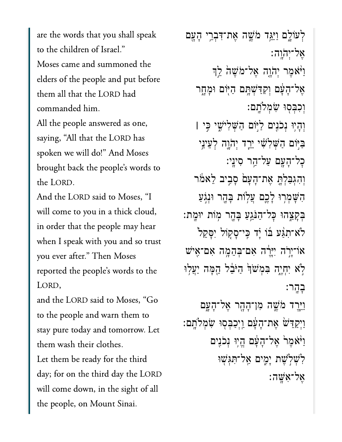are the words that you shall speak. to the children of Israel." Moses came and summoned the elders of the people and put before them all that the LORD had commanded him. All the people answered as one, saying, "All that the LORD has spoken we will do!" And Moses brought back the people's words to the LORD.

And the LORD said to Moses, "I will come to you in a thick cloud, in order that the people may hear when I speak with you and so trust you ever after." Then Moses reported the people's words to the and the Lord said to Moses said to Moses said the Lord said to Moses said the Lord said to Moses said the Said School said the Said School said the Said School said the Said School said the Said School said the Said School

and the LORD said to Moses, "Go to the people and warn them to them was help was help was help was help was help was help was help was help was help was help was help was he<br>The clothes was help was help was help was help was help was help was help was help was help was help was help them wash their clothes. Let them be ready for the third day; for on the third day the LORD the people, on Mount Sinai.the people, on Mount Sinai.

לְעוֹלֵם וַיַּּגֵד מֹשֵׁה אֵת־דִּבְרֵי הָעֲם ָאֱל־יִהוֵה: וַיֹּאֹמֶר יִהֹוֶה אֶל־מֹשֶׁה לֵךְ אֵל־הָעָּׁם וְקִדַּשְׁתָּם הַיְּוֹם וּמָחֱר וְכִבְּסִוּ שְׂמְלֹתֵם: וְהָיִוּ נִכֹּנֵים לַיְּוֹם הַשָּׁלְיֹשֵׁי כֵּי **|** ַּבְיִּוֹם הַשָּׁלְשָׁי יֵרֵד יְהֹוֶה לְעֵינֵי כְל־הָעֲם עַל־הַר סִינֵי: וְהָגִבַּלְתֵּ אֱת־הָעָם סַבֵיב לֵאמֹר ְהָשָׁמְרִוּ לַכֵּם עֲלְוֹת בָּהֶר וּנְגִעַ ּבְקַצֵהוּ כַּל־הַנֹּגֵעַ בָּהֶר מְוֹת יוּמֵת: ּלֹא־תְגַּע בֿוֹ יַ֫ד כֵּי־סָקוֹל יִסָּקֵל ֿ אוֹ־יָרְה יִיּרֶ<sup>ׂ</sup>ה אִם־בְּהֵמֶה אִם־אֵישׁ ֹלְא יְחָיֶה בִּמְשֹׁךְּ הַיּּבֵל הֱמָּה יַעֲלְוּ ָבהר: וַיֵּרֵד מֹּשֵׁה מִן־הָהָר אֵל־הָעֲם ֿוַיְקַדֵּשׁ אֶת־הָעָּם וַיְכַבְּסִוּ שִׂמְלֹתֶם: וַיֹּאֹמֶר אֶל־הָעָּׁם הֱיִוּ נְכֹנִים לְשָׁלְ**שֵׁת יַמְיִם אֲל־תְּגְשָׁוּ** 

ֶא ל־ִא ָּֽׁש ה׃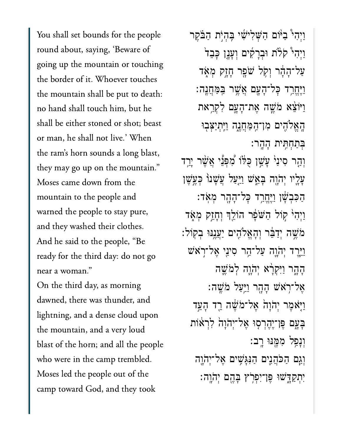You shall set bounds for the people  $\frac{1}{\sqrt{2}}$  up the mountain or touching  $\frac{1}{\sqrt{2}}$ going up the mountain or touching the border of it. Whoever touches the mountain shall be put to death: no hand shall touch him, but he shall be either stoned or shot; beast or man, he shall not live.' When the ram's horn sounds a long blast, they may go up on the mountain."  $M = 1 C_1$ mountain to the people and and the set of  $\mathbf{1}$  and  $\mathbf{1}$  and  $\mathbf{1}$  and  $\mathbf{1}$  and  $\mathbf{1}$  and  $\mathbf{1}$  and  $\mathbf{1}$  and  $\mathbf{1}$  and  $\mathbf{1}$  and  $\mathbf{1}$  and  $\mathbf{1}$  and  $\mathbf{1}$  and  $\mathbf{1}$  and  $\mathbf{1}$  and  $\mathbf{1}$  and  $\mathbf{1}$  an and they washed their clothes. And he said to the people, "Be ready for the third day: do not go near a woman."

On the third day, as morning dawned, there was thunder, and lightning, and a dense cloud upon the mountain, and a very loud blast of the horn; and all the people who were in the camp trembled. Moses led the people out of the camp toward God, and they took

וַיְהִי ּבְיּׂוֹם הַשְׁלִישִׁי בְּהְיָת הַבֹּקֶר וַיְהִי קֹלֹת וּבְרָקִים וְעָנָן כָּבֵד<sup>וֹ</sup> ַעֲל־הָהָר וִקְל ּשֹׁפֶר חָזֶק מְאָד וַיֵּחֵרַד כָּל־הָעָם אֲשֵׁר בַּמַּחֲנֵה: וַיּוֹצֵא מֹשֵׁה אֶת־הָעֲם לְקִרַאת הַאֵלֹהִים מִו־הַמַּחֲנֵה וַיִּתִיַצִּבְוּ ַּבְּתַחְתֵּית הָהֱר: וְהַר סִינַי<sub>ْ</sub> עַּשֳׁן כָּלֹּוֹ מְׁפִּנֵּי אֲשֵׁר י<u>ַר</u>ְד ַעֲלֵיו יְהֹוֶה בָּאֵֽשׁ וַיַּעַל עֲשָׁנוֹ כִּעֱשֶׁן ּהַכִּבְשָׁן וַיֵּחֱרַד כָּל־הָהָר מִאָּד: וַיְהִי קוֹל הַשֹּׁפָר הוֹלֵךְ וְחָזֵק מְאָד ֹמֹשֵׁה יִדַּבֶּ֫ר וְהָאֱלֹהֶים יַעֲנֵנּוּ בְקוֹל: וֵיֵּרֵד יִהֹוֶה עַל־הַר סִינֵי אֵל־רִאֹש הָהֶר וַיִּקְרָ֫א יִהֹוֵה לְמֹשֵׁה ָאֲל־רָא<sup>ָּ</sup>שׁ הָהָר וַיֵּעֲל מֹשֵׁה: וַיָּאֹמֶר יְהֹוָה<sup>ָ</sup> אֱל־מֹשֶׁה רֵד הָעֵד ַבְּעֲם פֶּן־יֶהֶרְסִוּ אֶל־יְהֹוָה לְרָאוֹת וְנַפֵל מְמֵנּוּ רֵב: וְגַם הַכֹּהֲנֵים הַנְּגַּשֵׁים אֱל־יִהֹוֵה יִתְקַדָּשׁוּ פֵּוְ־יִפְרְץ בָּהֵם יִהֹוֵה: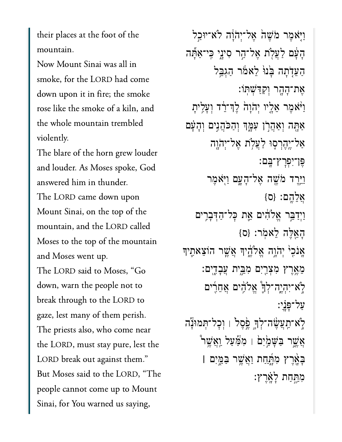their places at the foot of the mountain.

Now Mount Sinai was all in smoke, for the LORD had come down upon it in fire; the smoke rose like the smoke of a kiln, and the whole mountain trembled violently.

The blare of the horn grew louder and louder. As Moses spoke, God answered him in thunder. The LORD came down upon Mount Sinai, on the top of the mountain, and the LORD called Moses to the top of the mountain and Moses went up. The LORD said to Moses, "Go down, warn the people not to break through to the LORD to gaze, lest many of them perish. The priests also, who come near the LORD, must stay pure, lest the LORD break out against them." But Moses said to the LORD, "The people cannot come up to Mount Sinai, for You warned us saying,

וַיִּאמֶר מֹשֶׁהֹ אֱל־יִהוַֹה לֹא־יוּבַל הַעַּׁם לַעֲלִת אֱל־הֵר סִינֵי כֵּי־אַתַּٞה הַעֲדָֹתָה בָּנוּ לֵאמֹר הַגְבֵּל אֵת־הָהָר וִקְדַּשִׁתַּוֹ: וַיֹּאמֶר אֲלֵיו יְהֹוַהֹ לֵדְ־רֶֹד וְעַלֵיתַ אַתַּה וְאַהֲרֹן עִמֶּךְ וְהַכֹּהֲנֵים וְהָעָּם אַל־יֵהֵרְסֶוּ לַעֲלֹת אֵל־יִהֹוַה פֵּן־יִפְרָץ־בֵּם: וַיֵּרֵד מֹּשֵׁה אֵל־הָעֲם וַיְאֹמֶר  ${S}$ אַלְהֵם:  ${O}$ וַיִדַבֵּר אֱלֹהִים אֱת כָּל־הַדְּבְרִים הַאֲלֶה לֵאמֹר: {ס} אֲנֹכֶ<sup>וֹ</sup> יִהֹוֶה אֱלֹהֵ֫יִךְ אֲשֱר הוֹצֵאתֵיךָ מֵאֵרֵץ מִצְרַיִם מְבֵית עֲבָדֶים: לָא־יִהְיֶה־לְךָ אֱלֹהָים אֶחֶרִים על־פּנֹי: לָא־תַעֲשָׂה־לְךָ פֶּסֶל<sup>י</sup> ו וְכָל־תְּמוּנְה; אֲשֱר בַּשָּׁמַׂיִם ׁ מִצַּׁעַל וַאֲשֶׁר *`* בָּאֲרֵץ מִחֲ<u>ְחַת וַאֲ</u>שֶׁר בַּמֱיִם | מְחֵחַת לַאֲרֶץ: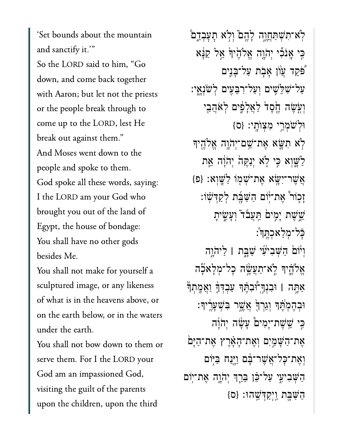'Set bounds about the mountain and sanctify it." So the LORD said to him, "Go down, and come back together with Aaron; but let not the priests or the people break through to come up to the LORD, lest He break out against them." And Moses went down to the people and spoke to them. God spoke all these words, saying: I the LORD am your God who brought you out of the land of Egypt, the house of bondage: You shall have no other gods besides Me.

You shall not make for yourself a sculptured image, or any likeness of what is in the heavens above, or on the earth below, or in the waters under the earth.

You shall not bow down to them or serve them. For I the LORD your God am an impassioned God, visiting the guilt of the parents upon the children, upon the third

לא־תִשְׁתַּחֲוֶה לָהֱםْ וִלְא תָעָבְדֶם כִּי אֲנֹכִّי יְהֹוֶה אֱלֹהֵ<sup>ׂי</sup>וּ אֵל קַנָּׁא פּקֵד עֲוֹן אַבְת עַל־בַּנֵים עַל־שָׁלֵשֶׁים וְעַל־רְבֵעִים לְשֹׂנָאֵי: וְעֵׂשָׂה חֵׂסֶד לַאֲלַפִּים לְאֹהֲבֵי וּלְשֹׁמְרֵי מְצִוֹתָי: {ס} לֹא תִשֵּׂא אֵת־שֵׁם־יִהֹוֶה אֱלֹהֶיךּ לַשֲׁוָא כֵּי לְא יְנַקֵּהֹ יְהֹוַּׁה אֱת  $\{D\}$ אַשֵׁר־יִשֵּׂא אַת־שָׁמְוֹ לַשֶּׁוְא זַכֲוֹר אֵת־יוֹם הַשַּׁבָּת לְקַדִּשׁוֹ: ּשֵׁשָׁת יַמֵּים הַעֲבֹד<sup>ּ</sup> וְעָשֵׂיתַ כַּל־מְלַאכְחֲדָ׃ וְיֹוֹםׂ הַשָּׁבִיעֶׁי שַׁבֶּת | לַיהֹוֶה אֵלֹהֵ֫יִךְ לְאִ־תַעֲשָׂה כָל־מִלָאֹכָה אַתָּה I וּבִנְךְ ווּבְנָתֵךְ עַבְדָךָ וַאֲמֶתִךְ ּוּבְהֵמְהֵׁךְּ וְגֵרְךָּ אֲשֱר בִּשְׁעֲרֵיךָ: כֵּי שֵׁשָׁת־יָמִים עַשָּׂה יְהֹוַה אֶת־הַשָּׁמַיִם וְאֶת־הָאָרֶץ אֶת־הַיֶּם וְאֶת־כָּל־אֲשֶׁר־בָּם וַיָּנַח בַּיִּוֹם הַשָּׁבִיעִי עַל־כֶּן בֶּרֵךְ יְהֹוֶה אֶת־יִוּם הַשֲׁׁבָת וַיִּקְדָּשֱׁהוּ: {ס}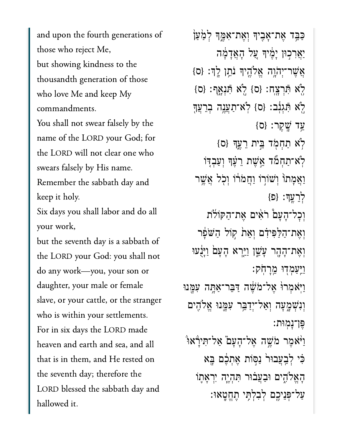those who references those who reject Me, but showing kindness to the thousandth generation of those who love Me and keep My commandments.

You shall not swear falsely by the name of the LORD your God; for the LORD will not clear one who swears falsely by His name.

Remember the sabbath day and keep it holy.

Six days you shall labor and do all your work,

.<br>but the seventh day is a sabbath of the LORD your God: you shall not do any work-you, your son or daughter, your male or female slave, or your cattle, or the stranger who is within your settlements. For in six days the LORD made heaven and earth and sea, and all that is in them, and He rested on the seventh day; therefore the LORD blessed the sabbath day and hallowed it.

ַּכְּבֵד אֵת־אָבִיךְ וְאֵת־אָמֱךְּ לְמַעַן ַיַּאֲרְכְוּן יָמֱיִךְ עֲל הָאֲדָמָ֫ה  $\{ \circ \} : \mathbb{R}^2_+$  וֹהֲלֶהָ יִךְ לִהְי ַּלְֹא תְּרְצַח: {ס} לְֹא תְּנָאֲף: {ס ְלָֹא הְּגִנָּב: {ס} לְא־תַעֲנֶה בְרֵעֲךָ ַּעֲד שֲׁקֵר: {ס  $\{$ סׂא תַחְמְד בֵּית רֻעֵךְ  $\{$ ס לֹא־תַחְמٌד אֱשֶׁת רֵעֲךָ וְעַבְדָוֹ ַוַאֲמַתוֹ וְשׁוֹרְוֹ וַחֲמֹרֹוֹ וְכְל אֲשֱר  $\{E\}$  :  $\sum$ לְרֻעֲךְ וִכָל־הָעָם רֹאִים אֶת־הַקּוֹלֹת וְאֵת־הַלַּפִּידָם וְאֵת קִוֹּל הַשֹּׁפָר וְאֵת־הָהָר עַשֵׁן וַיַּרָא הָעָם וַיַּּנָעוּ וַיַּעַמְדִוּ מֵרַחֹק: וַיֹּאמְרוּׂ אֱל־מֹשֶׁה דַּבֵּר־אֲתָּה עָמֲנוּ וְנִשְׁמַעַה וְאַל־יִדַבֵּ֣ר עִמֲ֣נוּ אֱלֹהֶֽים ֶּפ ן־ָנ ֽמ ּות׃ ֿוַיֹּאמֶר מֹשֶׁה אֶל־הָעָם ֿאַל־תִירָאוּ ְּכִּי לְבַעֲבוּר ׁנַסְוֹת אֶתְכֶם בָּא ְהָאֱלֹהֶים וּבַעֲבוּר תִּהְיֶה יִרְאָתֶוֹ ַעֲל־פָּנֵיכֵם לְבְלְתֵּי תֶחֱטֲאוּ: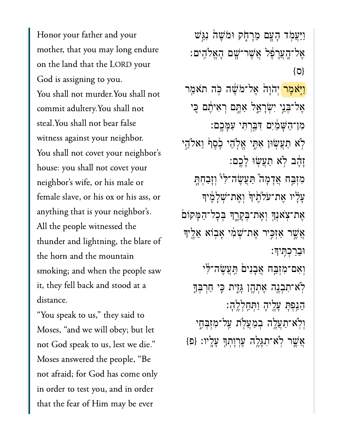Honor your father and your mother, that you may long endure on the land that the LORD your God is assigning to you. You shall not murder.You shall not commit adultery.You shall not steal. You shall not bear false witness against your neighbor. You shall not covet your neighbor's house: you shall not covet your neighbor's wife, or his male or  $\begin{array}{ccc} \sim & 1 & 1 & \cdots & 1 \end{array}$ anything that is your neighbor's. All the people witnessed the the horn and the mountain  $t$ the horn and the mountain smoking; and when the people saw it, they fell back and stood at a distance.

"You speak to us," they said to<br>Moses, "and we will obey; but let "You speak to us," they said to not God speak to us, lest we die." Moses answered the people, "Be not afraid; for God has come only in order to test you, and in order that the fear of Him may be ever

וַיַּעֲמָד הָעָם מֵרָחָק וּמֹשֵׁה נִגַּֽשׁ ֶאל־ָֽהֲעָרֶ֔פל ֲאֶׁשר־ָׁ֖שם ָהֱאֹלִֽהים׃ }ס{ <mark>וַיִּאֹמֶר</mark> יְהֹוָהֹ אֶל־מֹשֶׁה כְּה תֹאמַר אֶל־בְּנֵי יִשְׂרָאֵל אַחֱם רְאִיהֶם כֵּי ִמן־ַהָּׁשַ֔מִים ִּדַּ֖בְרִּתי ִעָּמֶֽכם׃ ֹלְא תַעֲשִׂוּן אִתֶּי אֱלָׂהֵי כֶׂסֶף וֵאלֹהֵי ַזְהָב לְא תַעֲשִׂוּ לָכֶם: מִזְבַּח אֲדָמָה ֿתַּעֲשֶׂה־לִּיْ וְזָבַחְתָּ ַעֲלָיו אֶת־עֹלָהֵיִךְ וְאֶת־שָׁלָמֶיִךָ ְאֶת־צְאָנְךָ וְאֶת־בְקָרֵךְ בְּכָל־הַמָּקוֹם אֲשֶׁר אֲזָכֵּיר אֶת־שָׁמִ֫י אַבְוֹא אֱלֵיך ּוֵבַרְכִּֽתיָך׃ וְאִם־מִזְבַּח אֲבָנִים הַעֲשֶׂה־לִּי ּלְׂא־תִבְנֵה אֵתְהֶן גָּזֶית כֵּי חַרִבְּךָ ֵהַ֥נְפָּת ָעֶ֖ליָה ַוְּתַֽחְלֶֽלָה׃ וִיִ<sup>י</sup>א־תַעֲלֵה בִמַעֲלְת עֲל־מִזְבָּחֶי  ${z}$ ָאֲשֶׁר לְאֹ־תִגְּלֶה עֶרְוְתְךָ עָלֶיו: {פ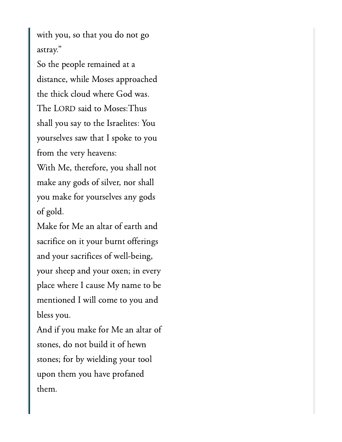with you, so that you do not go  $\mathcal{S}$  the people remained at a people remained at a people remained at a  $\mathcal{S}$ 

So the people remained at a distance, while Moses approached the thick cloud where God was. The LORD said to Moses: Thus shall you say to the Israelites: You yourselves saw that I spoke to you from the very heavens:  $\frac{1}{2}$  make an any shall shall be a shall be a shall be a shall be a shall be a shall be a shall be a shall be a shall be a shall be a shall be a shall be a shall be a shall be a shall be a shall be a shall be a shall

 $y = 1$  make for  $y = 1$  make  $y = 1$  make  $y = 1$  $\mathcal{O}(\mathcal{O})$ of gold. .<br>of gold.<br>Make for Me an altar of earth and

sacrifice on it your burnt offerings and your sacrifices of well-being, your sheep and your oxen; in every place where I cause My name to be mentioned I will come to you and  $\mathbf{A}$ 

 $\lambda$  if  $\lambda$  if  $\lambda$  if  $\lambda$  if  $\lambda$  if  $\lambda$  if  $\lambda$  if  $\lambda$  if  $\lambda$  if  $\lambda$  if  $\lambda$  if  $\lambda$  if  $\lambda$  if  $\lambda$  if  $\lambda$  if  $\lambda$  if  $\lambda$  if  $\lambda$  if  $\lambda$  if  $\lambda$  if  $\lambda$  if  $\lambda$  if  $\lambda$  if  $\lambda$  if  $\lambda$  if  $\lambda$  if  $\lambda$  if  $\lambda$  stones, do not build it of hewn  $\mathcal{C}$  1 + 11 upon them you have profaned them.